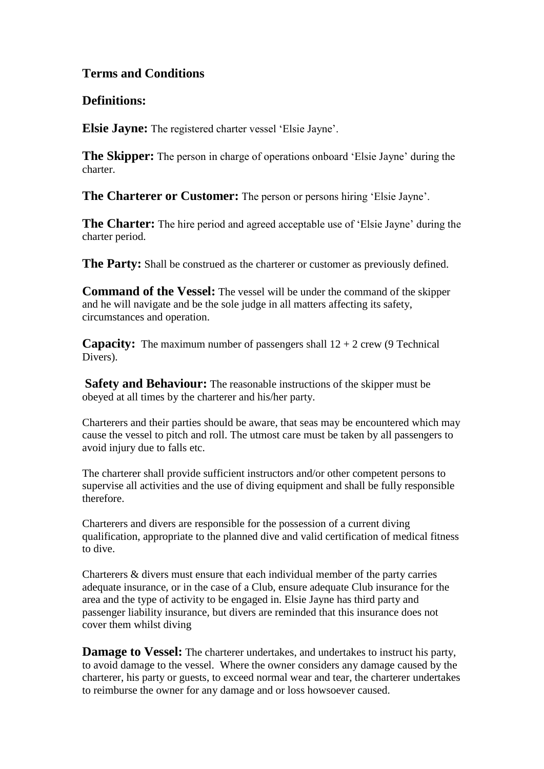# **Terms and Conditions**

# **Definitions:**

**Elsie Jayne:** The registered charter vessel 'Elsie Jayne'.

**The Skipper:** The person in charge of operations onboard 'Elsie Jayne' during the charter.

**The Charterer or Customer:** The person or persons hiring 'Elsie Jayne'.

**The Charter:** The hire period and agreed acceptable use of 'Elsie Jayne' during the charter period.

**The Party:** Shall be construed as the charterer or customer as previously defined.

**Command of the Vessel:** The vessel will be under the command of the skipper and he will navigate and be the sole judge in all matters affecting its safety, circumstances and operation.

**Capacity:** The maximum number of passengers shall  $12 + 2$  crew (9 Technical Divers).

**Safety and Behaviour:** The reasonable instructions of the skipper must be obeyed at all times by the charterer and his/her party.

Charterers and their parties should be aware, that seas may be encountered which may cause the vessel to pitch and roll. The utmost care must be taken by all passengers to avoid injury due to falls etc.

The charterer shall provide sufficient instructors and/or other competent persons to supervise all activities and the use of diving equipment and shall be fully responsible therefore.

Charterers and divers are responsible for the possession of a current diving qualification, appropriate to the planned dive and valid certification of medical fitness to dive.

Charterers & divers must ensure that each individual member of the party carries adequate insurance, or in the case of a Club, ensure adequate Club insurance for the area and the type of activity to be engaged in. Elsie Jayne has third party and passenger liability insurance, but divers are reminded that this insurance does not cover them whilst diving

**Damage to Vessel:** The charterer undertakes, and undertakes to instruct his party, to avoid damage to the vessel. Where the owner considers any damage caused by the charterer, his party or guests, to exceed normal wear and tear, the charterer undertakes to reimburse the owner for any damage and or loss howsoever caused.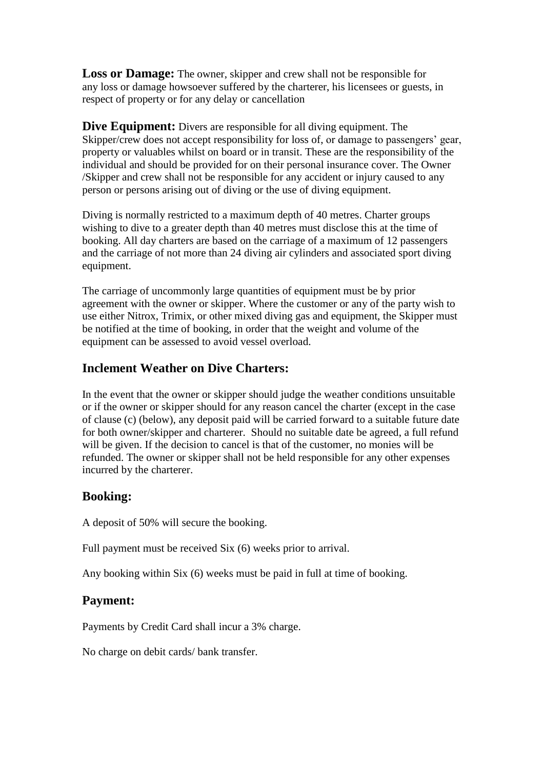**Loss or Damage:** The owner, skipper and crew shall not be responsible for any loss or damage howsoever suffered by the charterer, his licensees or guests, in respect of property or for any delay or cancellation

**Dive Equipment:** Divers are responsible for all diving equipment. The Skipper/crew does not accept responsibility for loss of, or damage to passengers' gear, property or valuables whilst on board or in transit. These are the responsibility of the individual and should be provided for on their personal insurance cover. The Owner /Skipper and crew shall not be responsible for any accident or injury caused to any person or persons arising out of diving or the use of diving equipment.

Diving is normally restricted to a maximum depth of 40 metres. Charter groups wishing to dive to a greater depth than 40 metres must disclose this at the time of booking. All day charters are based on the carriage of a maximum of 12 passengers and the carriage of not more than 24 diving air cylinders and associated sport diving equipment.

The carriage of uncommonly large quantities of equipment must be by prior agreement with the owner or skipper. Where the customer or any of the party wish to use either Nitrox, Trimix, or other mixed diving gas and equipment, the Skipper must be notified at the time of booking, in order that the weight and volume of the equipment can be assessed to avoid vessel overload.

### **Inclement Weather on Dive Charters:**

In the event that the owner or skipper should judge the weather conditions unsuitable or if the owner or skipper should for any reason cancel the charter (except in the case of clause (c) (below), any deposit paid will be carried forward to a suitable future date for both owner/skipper and charterer. Should no suitable date be agreed, a full refund will be given. If the decision to cancel is that of the customer, no monies will be refunded. The owner or skipper shall not be held responsible for any other expenses incurred by the charterer.

#### **Booking:**

A deposit of 50% will secure the booking.

Full payment must be received Six (6) weeks prior to arrival.

Any booking within Six (6) weeks must be paid in full at time of booking.

#### **Payment:**

Payments by Credit Card shall incur a 3% charge.

No charge on debit cards/ bank transfer.